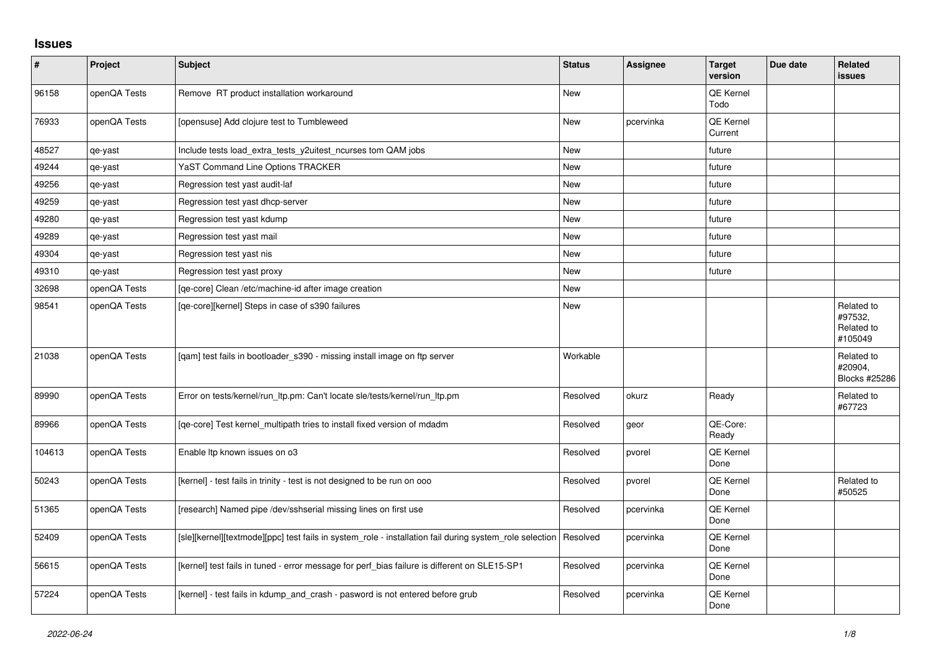## **Issues**

| $\sharp$ | Project      | Subject                                                                                                 | <b>Status</b> | <b>Assignee</b> | <b>Target</b><br>version | Due date | <b>Related</b><br>issues                       |
|----------|--------------|---------------------------------------------------------------------------------------------------------|---------------|-----------------|--------------------------|----------|------------------------------------------------|
| 96158    | openQA Tests | Remove RT product installation workaround                                                               | <b>New</b>    |                 | QE Kernel<br>Todo        |          |                                                |
| 76933    | openQA Tests | [opensuse] Add clojure test to Tumbleweed                                                               | <b>New</b>    | pcervinka       | QE Kernel<br>Current     |          |                                                |
| 48527    | qe-yast      | Include tests load_extra_tests_y2uitest_ncurses tom QAM jobs                                            | <b>New</b>    |                 | future                   |          |                                                |
| 49244    | qe-yast      | YaST Command Line Options TRACKER                                                                       | <b>New</b>    |                 | future                   |          |                                                |
| 49256    | qe-yast      | Regression test yast audit-laf                                                                          | New           |                 | future                   |          |                                                |
| 49259    | qe-yast      | Regression test yast dhcp-server                                                                        | <b>New</b>    |                 | future                   |          |                                                |
| 49280    | qe-yast      | Regression test yast kdump                                                                              | <b>New</b>    |                 | future                   |          |                                                |
| 49289    | qe-yast      | Regression test yast mail                                                                               | New           |                 | future                   |          |                                                |
| 49304    | qe-yast      | Regression test yast nis                                                                                | <b>New</b>    |                 | future                   |          |                                                |
| 49310    | qe-yast      | Regression test yast proxy                                                                              | <b>New</b>    |                 | future                   |          |                                                |
| 32698    | openQA Tests | [ge-core] Clean /etc/machine-id after image creation                                                    | New           |                 |                          |          |                                                |
| 98541    | openQA Tests | [ge-core][kernel] Steps in case of s390 failures                                                        | <b>New</b>    |                 |                          |          | Related to<br>#97532.<br>Related to<br>#105049 |
| 21038    | openQA Tests | [qam] test fails in bootloader_s390 - missing install image on ftp server                               | Workable      |                 |                          |          | Related to<br>#20904,<br>Blocks #25286         |
| 89990    | openQA Tests | Error on tests/kernel/run_ltp.pm: Can't locate sle/tests/kernel/run_ltp.pm                              | Resolved      | okurz           | Ready                    |          | Related to<br>#67723                           |
| 89966    | openQA Tests | [ge-core] Test kernel multipath tries to install fixed version of mdadm                                 | Resolved      | geor            | QE-Core:<br>Ready        |          |                                                |
| 104613   | openQA Tests | Enable Itp known issues on o3                                                                           | Resolved      | pvorel          | QE Kernel<br>Done        |          |                                                |
| 50243    | openQA Tests | [kernel] - test fails in trinity - test is not designed to be run on ooo                                | Resolved      | pvorel          | QE Kernel<br>Done        |          | Related to<br>#50525                           |
| 51365    | openQA Tests | [research] Named pipe /dev/sshserial missing lines on first use                                         | Resolved      | pcervinka       | QE Kernel<br>Done        |          |                                                |
| 52409    | openQA Tests | [sle][kernel][textmode][ppc] test fails in system_role - installation fail during system_role selection | Resolved      | pcervinka       | QE Kernel<br>Done        |          |                                                |
| 56615    | openQA Tests | [kernel] test fails in tuned - error message for perf_bias failure is different on SLE15-SP1            | Resolved      | pcervinka       | QE Kernel<br>Done        |          |                                                |
| 57224    | openQA Tests | [kernel] - test fails in kdump_and_crash - pasword is not entered before grub                           | Resolved      | pcervinka       | QE Kernel<br>Done        |          |                                                |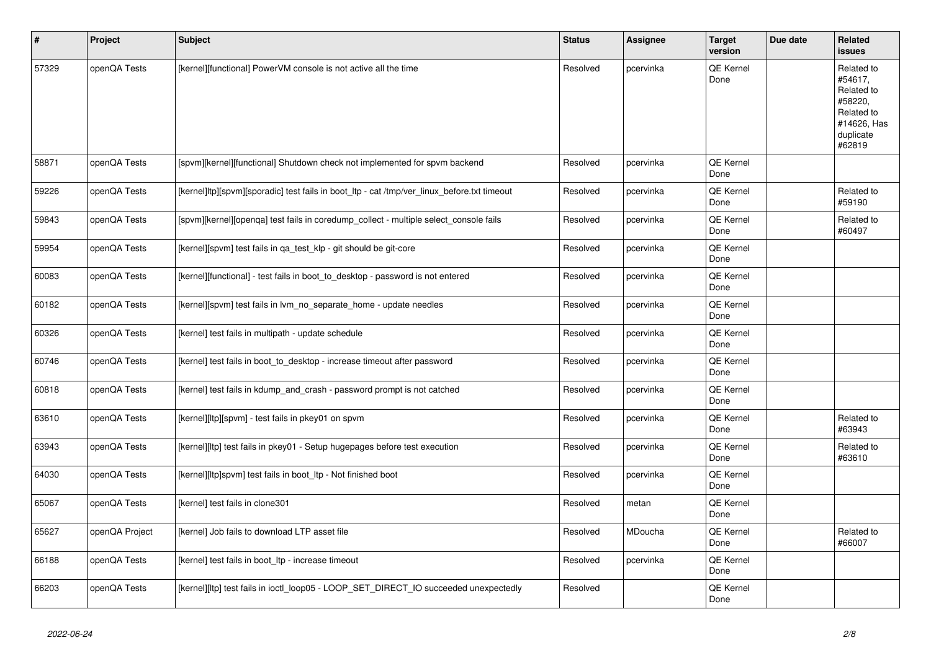| $\vert$ # | Project        | <b>Subject</b>                                                                              | <b>Status</b> | Assignee  | <b>Target</b><br>version | Due date | <b>Related</b><br>issues                                                                           |
|-----------|----------------|---------------------------------------------------------------------------------------------|---------------|-----------|--------------------------|----------|----------------------------------------------------------------------------------------------------|
| 57329     | openQA Tests   | [kernel][functional] PowerVM console is not active all the time                             | Resolved      | pcervinka | QE Kernel<br>Done        |          | Related to<br>#54617.<br>Related to<br>#58220,<br>Related to<br>#14626, Has<br>duplicate<br>#62819 |
| 58871     | openQA Tests   | [spvm][kernel][functional] Shutdown check not implemented for spvm backend                  | Resolved      | pcervinka | QE Kernel<br>Done        |          |                                                                                                    |
| 59226     | openQA Tests   | [kernel]ltp][spvm][sporadic] test fails in boot_ltp - cat /tmp/ver_linux_before.txt timeout | Resolved      | pcervinka | <b>QE Kernel</b><br>Done |          | Related to<br>#59190                                                                               |
| 59843     | openQA Tests   | [spvm][kernel][openqa] test fails in coredump_collect - multiple select_console fails       | Resolved      | pcervinka | <b>QE Kernel</b><br>Done |          | Related to<br>#60497                                                                               |
| 59954     | openQA Tests   | [kernel][spvm] test fails in ga test klp - git should be git-core                           | Resolved      | pcervinka | <b>QE Kernel</b><br>Done |          |                                                                                                    |
| 60083     | openQA Tests   | [kernel][functional] - test fails in boot_to_desktop - password is not entered              | Resolved      | pcervinka | QE Kernel<br>Done        |          |                                                                                                    |
| 60182     | openQA Tests   | [kernel][spvm] test fails in lvm_no_separate_home - update needles                          | Resolved      | pcervinka | QE Kernel<br>Done        |          |                                                                                                    |
| 60326     | openQA Tests   | [kernel] test fails in multipath - update schedule                                          | Resolved      | pcervinka | <b>QE Kernel</b><br>Done |          |                                                                                                    |
| 60746     | openQA Tests   | [kernel] test fails in boot_to_desktop - increase timeout after password                    | Resolved      | pcervinka | QE Kernel<br>Done        |          |                                                                                                    |
| 60818     | openQA Tests   | [kernel] test fails in kdump and crash - password prompt is not catched                     | Resolved      | pcervinka | QE Kernel<br>Done        |          |                                                                                                    |
| 63610     | openQA Tests   | [kernel][ltp][spvm] - test fails in pkey01 on spvm                                          | Resolved      | pcervinka | QE Kernel<br>Done        |          | Related to<br>#63943                                                                               |
| 63943     | openQA Tests   | [kernel][ltp] test fails in pkey01 - Setup hugepages before test execution                  | Resolved      | pcervinka | <b>QE Kernel</b><br>Done |          | Related to<br>#63610                                                                               |
| 64030     | openQA Tests   | [kernel][ltp]spvm] test fails in boot Itp - Not finished boot                               | Resolved      | pcervinka | QE Kernel<br>Done        |          |                                                                                                    |
| 65067     | openQA Tests   | [kernel] test fails in clone301                                                             | Resolved      | metan     | <b>QE Kernel</b><br>Done |          |                                                                                                    |
| 65627     | openQA Project | [kernel] Job fails to download LTP asset file                                               | Resolved      | MDoucha   | QE Kernel<br>Done        |          | Related to<br>#66007                                                                               |
| 66188     | openQA Tests   | [kernel] test fails in boot_ltp - increase timeout                                          | Resolved      | pcervinka | QE Kernel<br>Done        |          |                                                                                                    |
| 66203     | openQA Tests   | [kernel][ltp] test fails in ioctl_loop05 - LOOP_SET_DIRECT_IO succeeded unexpectedly        | Resolved      |           | QE Kernel<br>Done        |          |                                                                                                    |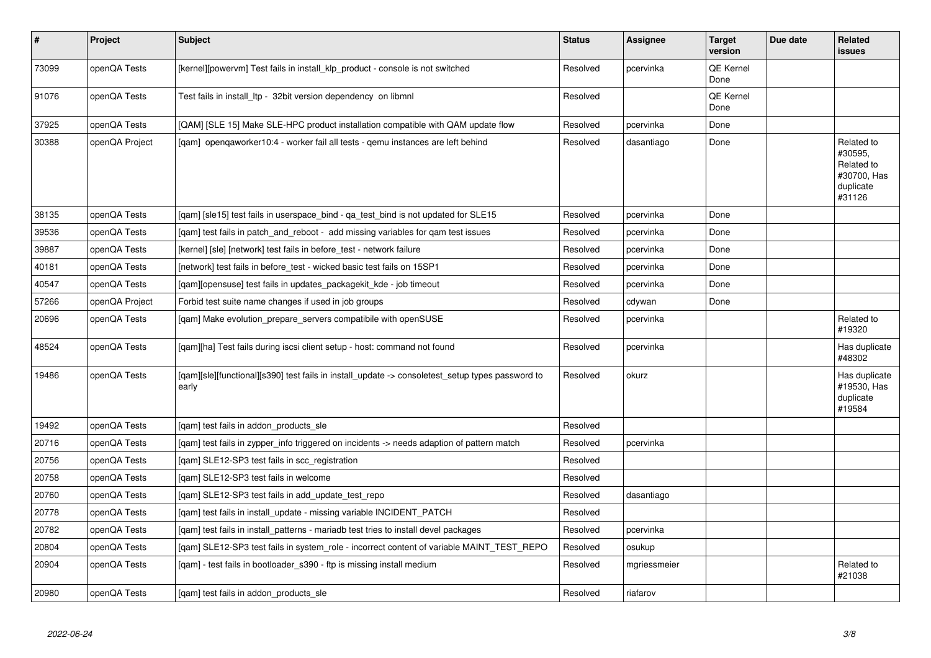| $\vert$ # | Project        | <b>Subject</b>                                                                                            | <b>Status</b> | Assignee     | <b>Target</b><br>version | Due date | Related<br>issues                                                         |
|-----------|----------------|-----------------------------------------------------------------------------------------------------------|---------------|--------------|--------------------------|----------|---------------------------------------------------------------------------|
| 73099     | openQA Tests   | [kernel][powervm] Test fails in install_klp_product - console is not switched                             | Resolved      | pcervinka    | <b>QE Kernel</b><br>Done |          |                                                                           |
| 91076     | openQA Tests   | Test fails in install Itp - 32bit version dependency on libmnl                                            | Resolved      |              | <b>QE Kernel</b><br>Done |          |                                                                           |
| 37925     | openQA Tests   | [QAM] [SLE 15] Make SLE-HPC product installation compatible with QAM update flow                          | Resolved      | pcervinka    | Done                     |          |                                                                           |
| 30388     | openQA Project | [gam] opengaworker10:4 - worker fail all tests - gemu instances are left behind                           | Resolved      | dasantiago   | Done                     |          | Related to<br>#30595,<br>Related to<br>#30700, Has<br>duplicate<br>#31126 |
| 38135     | openQA Tests   | [qam] [sle15] test fails in userspace_bind - qa_test_bind is not updated for SLE15                        | Resolved      | pcervinka    | Done                     |          |                                                                           |
| 39536     | openQA Tests   | [qam] test fails in patch_and_reboot - add missing variables for qam test issues                          | Resolved      | pcervinka    | Done                     |          |                                                                           |
| 39887     | openQA Tests   | [kernel] [sle] [network] test fails in before test - network failure                                      | Resolved      | pcervinka    | Done                     |          |                                                                           |
| 40181     | openQA Tests   | [network] test fails in before test - wicked basic test fails on 15SP1                                    | Resolved      | pcervinka    | Done                     |          |                                                                           |
| 40547     | openQA Tests   | [qam][opensuse] test fails in updates_packagekit_kde - job timeout                                        | Resolved      | pcervinka    | Done                     |          |                                                                           |
| 57266     | openQA Project | Forbid test suite name changes if used in job groups                                                      | Resolved      | cdywan       | Done                     |          |                                                                           |
| 20696     | openQA Tests   | [gam] Make evolution prepare servers compatibile with openSUSE                                            | Resolved      | pcervinka    |                          |          | Related to<br>#19320                                                      |
| 48524     | openQA Tests   | [gam][ha] Test fails during iscsi client setup - host: command not found                                  | Resolved      | pcervinka    |                          |          | Has duplicate<br>#48302                                                   |
| 19486     | openQA Tests   | [gam][sle][functional][s390] test fails in install_update -> consoletest_setup types password to<br>early | Resolved      | okurz        |                          |          | Has duplicate<br>#19530, Has<br>duplicate<br>#19584                       |
| 19492     | openQA Tests   | [gam] test fails in addon products sle                                                                    | Resolved      |              |                          |          |                                                                           |
| 20716     | openQA Tests   | [qam] test fails in zypper_info triggered on incidents -> needs adaption of pattern match                 | Resolved      | pcervinka    |                          |          |                                                                           |
| 20756     | openQA Tests   | [gam] SLE12-SP3 test fails in scc registration                                                            | Resolved      |              |                          |          |                                                                           |
| 20758     | openQA Tests   | [gam] SLE12-SP3 test fails in welcome                                                                     | Resolved      |              |                          |          |                                                                           |
| 20760     | openQA Tests   | [gam] SLE12-SP3 test fails in add update test repo                                                        | Resolved      | dasantiago   |                          |          |                                                                           |
| 20778     | openQA Tests   | [gam] test fails in install update - missing variable INCIDENT PATCH                                      | Resolved      |              |                          |          |                                                                           |
| 20782     | openQA Tests   | [qam] test fails in install_patterns - mariadb test tries to install devel packages                       | Resolved      | pcervinka    |                          |          |                                                                           |
| 20804     | openQA Tests   | [gam] SLE12-SP3 test fails in system_role - incorrect content of variable MAINT_TEST_REPO                 | Resolved      | osukup       |                          |          |                                                                           |
| 20904     | openQA Tests   | [gam] - test fails in bootloader s390 - ftp is missing install medium                                     | Resolved      | mgriessmeier |                          |          | Related to<br>#21038                                                      |
| 20980     | openQA Tests   | [gam] test fails in addon products sle                                                                    | Resolved      | riafarov     |                          |          |                                                                           |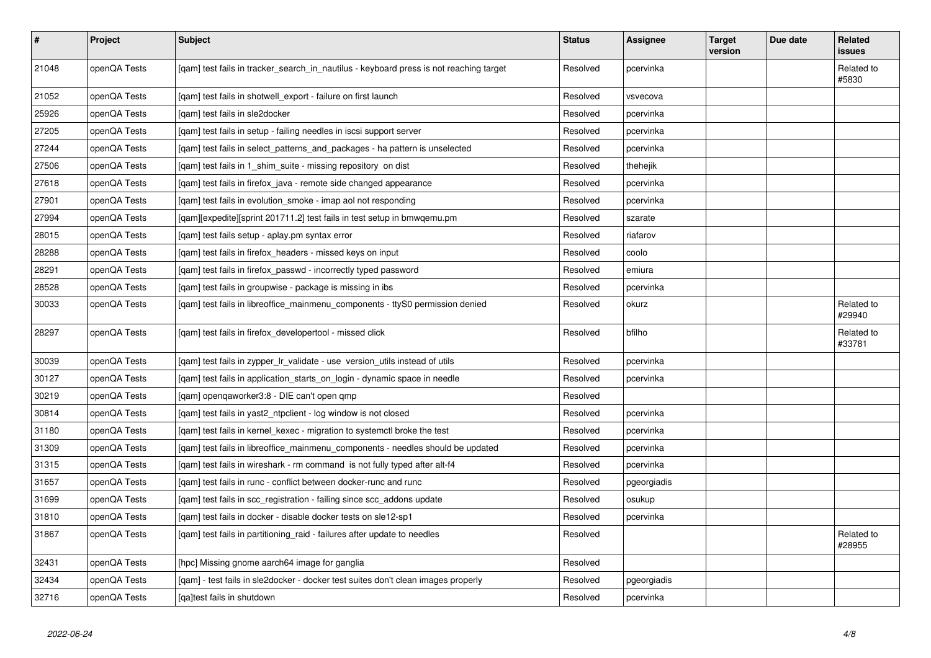| $\sharp$ | Project      | <b>Subject</b>                                                                         | <b>Status</b> | Assignee    | <b>Target</b><br>version | Due date | <b>Related</b><br><b>issues</b> |
|----------|--------------|----------------------------------------------------------------------------------------|---------------|-------------|--------------------------|----------|---------------------------------|
| 21048    | openQA Tests | [qam] test fails in tracker_search_in_nautilus - keyboard press is not reaching target | Resolved      | pcervinka   |                          |          | Related to<br>#5830             |
| 21052    | openQA Tests | [gam] test fails in shotwell export - failure on first launch                          | Resolved      | vsvecova    |                          |          |                                 |
| 25926    | openQA Tests | [gam] test fails in sle2docker                                                         | Resolved      | pcervinka   |                          |          |                                 |
| 27205    | openQA Tests | [gam] test fails in setup - failing needles in iscsi support server                    | Resolved      | pcervinka   |                          |          |                                 |
| 27244    | openQA Tests | [qam] test fails in select_patterns_and_packages - ha pattern is unselected            | Resolved      | pcervinka   |                          |          |                                 |
| 27506    | openQA Tests | [qam] test fails in 1_shim_suite - missing repository on dist                          | Resolved      | thehejik    |                          |          |                                 |
| 27618    | openQA Tests | [gam] test fails in firefox java - remote side changed appearance                      | Resolved      | pcervinka   |                          |          |                                 |
| 27901    | openQA Tests | [gam] test fails in evolution smoke - imap aol not responding                          | Resolved      | pcervinka   |                          |          |                                 |
| 27994    | openQA Tests | [qam][expedite][sprint 201711.2] test fails in test setup in bmwqemu.pm                | Resolved      | szarate     |                          |          |                                 |
| 28015    | openQA Tests | [gam] test fails setup - aplay.pm syntax error                                         | Resolved      | riafarov    |                          |          |                                 |
| 28288    | openQA Tests | [qam] test fails in firefox_headers - missed keys on input                             | Resolved      | coolo       |                          |          |                                 |
| 28291    | openQA Tests | [qam] test fails in firefox_passwd - incorrectly typed password                        | Resolved      | emiura      |                          |          |                                 |
| 28528    | openQA Tests | [gam] test fails in groupwise - package is missing in ibs                              | Resolved      | pcervinka   |                          |          |                                 |
| 30033    | openQA Tests | [qam] test fails in libreoffice_mainmenu_components - ttyS0 permission denied          | Resolved      | okurz       |                          |          | Related to<br>#29940            |
| 28297    | openQA Tests | [gam] test fails in firefox developertool - missed click                               | Resolved      | bfilho      |                          |          | Related to<br>#33781            |
| 30039    | openQA Tests | [gam] test fails in zypper Ir validate - use version utils instead of utils            | Resolved      | pcervinka   |                          |          |                                 |
| 30127    | openQA Tests | [gam] test fails in application starts on login - dynamic space in needle              | Resolved      | pcervinka   |                          |          |                                 |
| 30219    | openQA Tests | [qam] openqaworker3:8 - DIE can't open qmp                                             | Resolved      |             |                          |          |                                 |
| 30814    | openQA Tests | [qam] test fails in yast2_ntpclient - log window is not closed                         | Resolved      | pcervinka   |                          |          |                                 |
| 31180    | openQA Tests | [qam] test fails in kernel_kexec - migration to systemctl broke the test               | Resolved      | pcervinka   |                          |          |                                 |
| 31309    | openQA Tests | [gam] test fails in libreoffice mainmenu components - needles should be updated        | Resolved      | pcervinka   |                          |          |                                 |
| 31315    | openQA Tests | [gam] test fails in wireshark - rm command is not fully typed after alt-f4             | Resolved      | pcervinka   |                          |          |                                 |
| 31657    | openQA Tests | [gam] test fails in runc - conflict between docker-runc and runc                       | Resolved      | pgeorgiadis |                          |          |                                 |
| 31699    | openQA Tests | [gam] test fails in scc_registration - failing since scc_addons update                 | Resolved      | osukup      |                          |          |                                 |
| 31810    | openQA Tests | [gam] test fails in docker - disable docker tests on sle12-sp1                         | Resolved      | pcervinka   |                          |          |                                 |
| 31867    | openQA Tests | [qam] test fails in partitioning_raid - failures after update to needles               | Resolved      |             |                          |          | Related to<br>#28955            |
| 32431    | openQA Tests | [hpc] Missing gnome aarch64 image for ganglia                                          | Resolved      |             |                          |          |                                 |
| 32434    | openQA Tests | [qam] - test fails in sle2docker - docker test suites don't clean images properly      | Resolved      | pgeorgiadis |                          |          |                                 |
| 32716    | openQA Tests | [qa]test fails in shutdown                                                             | Resolved      | pcervinka   |                          |          |                                 |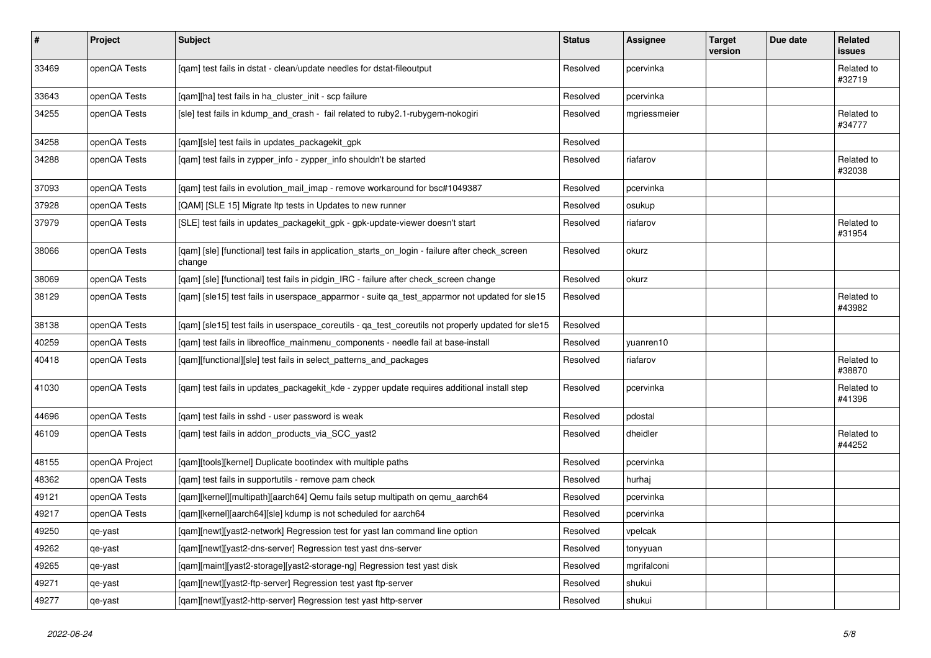| $\vert$ # | Project        | <b>Subject</b>                                                                                            | <b>Status</b> | Assignee     | <b>Target</b><br>version | Due date | Related<br>issues    |
|-----------|----------------|-----------------------------------------------------------------------------------------------------------|---------------|--------------|--------------------------|----------|----------------------|
| 33469     | openQA Tests   | [qam] test fails in dstat - clean/update needles for dstat-fileoutput                                     | Resolved      | pcervinka    |                          |          | Related to<br>#32719 |
| 33643     | openQA Tests   | [gam][ha] test fails in ha cluster init - scp failure                                                     | Resolved      | pcervinka    |                          |          |                      |
| 34255     | openQA Tests   | [sle] test fails in kdump and crash - fail related to ruby2.1-rubygem-nokogiri                            | Resolved      | mgriessmeier |                          |          | Related to<br>#34777 |
| 34258     | openQA Tests   | [qam][sle] test fails in updates_packagekit_gpk                                                           | Resolved      |              |                          |          |                      |
| 34288     | openQA Tests   | [gam] test fails in zypper info - zypper info shouldn't be started                                        | Resolved      | riafarov     |                          |          | Related to<br>#32038 |
| 37093     | openQA Tests   | [qam] test fails in evolution_mail_imap - remove workaround for bsc#1049387                               | Resolved      | pcervinka    |                          |          |                      |
| 37928     | openQA Tests   | [QAM] [SLE 15] Migrate Itp tests in Updates to new runner                                                 | Resolved      | osukup       |                          |          |                      |
| 37979     | openQA Tests   | [SLE] test fails in updates_packagekit_gpk - gpk-update-viewer doesn't start                              | Resolved      | riafarov     |                          |          | Related to<br>#31954 |
| 38066     | openQA Tests   | [gam] [sle] [functional] test fails in application starts on login - failure after check screen<br>change | Resolved      | okurz        |                          |          |                      |
| 38069     | openQA Tests   | [qam] [sle] [functional] test fails in pidgin_IRC - failure after check_screen change                     | Resolved      | okurz        |                          |          |                      |
| 38129     | openQA Tests   | [qam] [sle15] test fails in userspace_apparmor - suite qa_test_apparmor not updated for sle15             | Resolved      |              |                          |          | Related to<br>#43982 |
| 38138     | openQA Tests   | [qam] [sle15] test fails in userspace_coreutils - qa_test_coreutils not properly updated for sle15        | Resolved      |              |                          |          |                      |
| 40259     | openQA Tests   | [qam] test fails in libreoffice_mainmenu_components - needle fail at base-install                         | Resolved      | yuanren10    |                          |          |                      |
| 40418     | openQA Tests   | [qam][functional][sle] test fails in select_patterns_and_packages                                         | Resolved      | riafarov     |                          |          | Related to<br>#38870 |
| 41030     | openQA Tests   | [gam] test fails in updates_packagekit_kde - zypper update requires additional install step               | Resolved      | pcervinka    |                          |          | Related to<br>#41396 |
| 44696     | openQA Tests   | [qam] test fails in sshd - user password is weak                                                          | Resolved      | pdostal      |                          |          |                      |
| 46109     | openQA Tests   | [qam] test fails in addon_products_via_SCC_yast2                                                          | Resolved      | dheidler     |                          |          | Related to<br>#44252 |
| 48155     | openQA Project | [gam][tools][kernel] Duplicate bootindex with multiple paths                                              | Resolved      | pcervinka    |                          |          |                      |
| 48362     | openQA Tests   | [gam] test fails in supportutils - remove pam check                                                       | Resolved      | hurhaj       |                          |          |                      |
| 49121     | openQA Tests   | [qam][kernel][multipath][aarch64] Qemu fails setup multipath on qemu_aarch64                              | Resolved      | pcervinka    |                          |          |                      |
| 49217     | openQA Tests   | [qam][kernel][aarch64][sle] kdump is not scheduled for aarch64                                            | Resolved      | pcervinka    |                          |          |                      |
| 49250     | qe-yast        | [gam][newt][yast2-network] Regression test for yast lan command line option                               | Resolved      | vpelcak      |                          |          |                      |
| 49262     | qe-yast        | [gam][newt][yast2-dns-server] Regression test yast dns-server                                             | Resolved      | tonyyuan     |                          |          |                      |
| 49265     | qe-yast        | [gam][maint][yast2-storage][yast2-storage-ng] Regression test yast disk                                   | Resolved      | mgrifalconi  |                          |          |                      |
| 49271     | qe-yast        | [qam][newt][yast2-ftp-server] Regression test yast ftp-server                                             | Resolved      | shukui       |                          |          |                      |
| 49277     | qe-yast        | [qam][newt][yast2-http-server] Regression test yast http-server                                           | Resolved      | shukui       |                          |          |                      |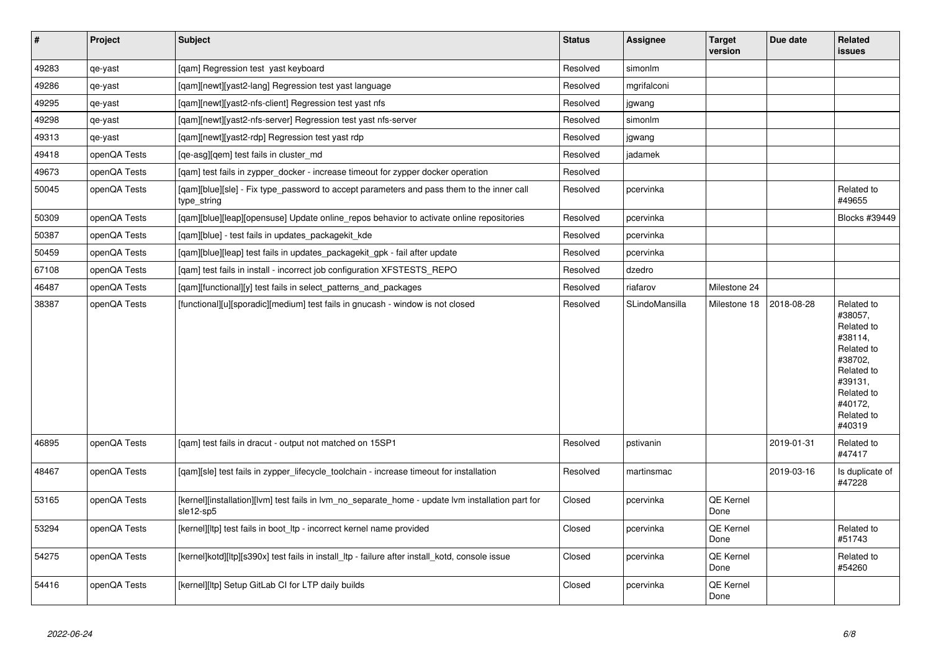| $\vert$ # | Project      | <b>Subject</b>                                                                                                 | <b>Status</b> | <b>Assignee</b> | <b>Target</b><br>version | Due date   | <b>Related</b><br>issues                                                                                                                          |
|-----------|--------------|----------------------------------------------------------------------------------------------------------------|---------------|-----------------|--------------------------|------------|---------------------------------------------------------------------------------------------------------------------------------------------------|
| 49283     | qe-yast      | [gam] Regression test yast keyboard                                                                            | Resolved      | simonlm         |                          |            |                                                                                                                                                   |
| 49286     | qe-yast      | [qam][newt][yast2-lang] Regression test yast language                                                          | Resolved      | mgrifalconi     |                          |            |                                                                                                                                                   |
| 49295     | qe-yast      | [qam][newt][yast2-nfs-client] Regression test yast nfs                                                         | Resolved      | jgwang          |                          |            |                                                                                                                                                   |
| 49298     | qe-yast      | [gam][newt][yast2-nfs-server] Regression test yast nfs-server                                                  | Resolved      | simonlm         |                          |            |                                                                                                                                                   |
| 49313     | qe-yast      | [qam][newt][yast2-rdp] Regression test yast rdp                                                                | Resolved      | jgwang          |                          |            |                                                                                                                                                   |
| 49418     | openQA Tests | [qe-asg][qem] test fails in cluster_md                                                                         | Resolved      | jadamek         |                          |            |                                                                                                                                                   |
| 49673     | openQA Tests | [gam] test fails in zypper docker - increase timeout for zypper docker operation                               | Resolved      |                 |                          |            |                                                                                                                                                   |
| 50045     | openQA Tests | [gam][blue][sle] - Fix type password to accept parameters and pass them to the inner call<br>type_string       | Resolved      | pcervinka       |                          |            | Related to<br>#49655                                                                                                                              |
| 50309     | openQA Tests | [gam][blue][leap][opensuse] Update online_repos behavior to activate online repositories                       | Resolved      | pcervinka       |                          |            | Blocks #39449                                                                                                                                     |
| 50387     | openQA Tests | [qam][blue] - test fails in updates_packagekit_kde                                                             | Resolved      | pcervinka       |                          |            |                                                                                                                                                   |
| 50459     | openQA Tests | [gam][blue][leap] test fails in updates packagekit gpk - fail after update                                     | Resolved      | pcervinka       |                          |            |                                                                                                                                                   |
| 67108     | openQA Tests | [qam] test fails in install - incorrect job configuration XFSTESTS_REPO                                        | Resolved      | dzedro          |                          |            |                                                                                                                                                   |
| 46487     | openQA Tests | [qam][functional][y] test fails in select_patterns_and_packages                                                | Resolved      | riafarov        | Milestone 24             |            |                                                                                                                                                   |
| 38387     | openQA Tests | [functional][u][sporadic][medium] test fails in gnucash - window is not closed                                 | Resolved      | SLindoMansilla  | Milestone 18             | 2018-08-28 | Related to<br>#38057,<br>Related to<br>#38114,<br>Related to<br>#38702,<br>Related to<br>#39131.<br>Related to<br>#40172,<br>Related to<br>#40319 |
| 46895     | openQA Tests | [qam] test fails in dracut - output not matched on 15SP1                                                       | Resolved      | pstivanin       |                          | 2019-01-31 | Related to<br>#47417                                                                                                                              |
| 48467     | openQA Tests | [qam][sle] test fails in zypper_lifecycle_toolchain - increase timeout for installation                        | Resolved      | martinsmac      |                          | 2019-03-16 | Is duplicate of<br>#47228                                                                                                                         |
| 53165     | openQA Tests | [kernel][installation][lvm] test fails in lvm_no_separate_home - update lvm installation part for<br>sle12-sp5 | Closed        | pcervinka       | QE Kernel<br>Done        |            |                                                                                                                                                   |
| 53294     | openQA Tests | [kernel][ltp] test fails in boot_ltp - incorrect kernel name provided                                          | Closed        | pcervinka       | QE Kernel<br>Done        |            | Related to<br>#51743                                                                                                                              |
| 54275     | openQA Tests | [kernel]kotd][ltp][s390x] test fails in install ltp - failure after install kotd, console issue                | Closed        | pcervinka       | QE Kernel<br>Done        |            | Related to<br>#54260                                                                                                                              |
| 54416     | openQA Tests | [kernel][ltp] Setup GitLab CI for LTP daily builds                                                             | Closed        | pcervinka       | QE Kernel<br>Done        |            |                                                                                                                                                   |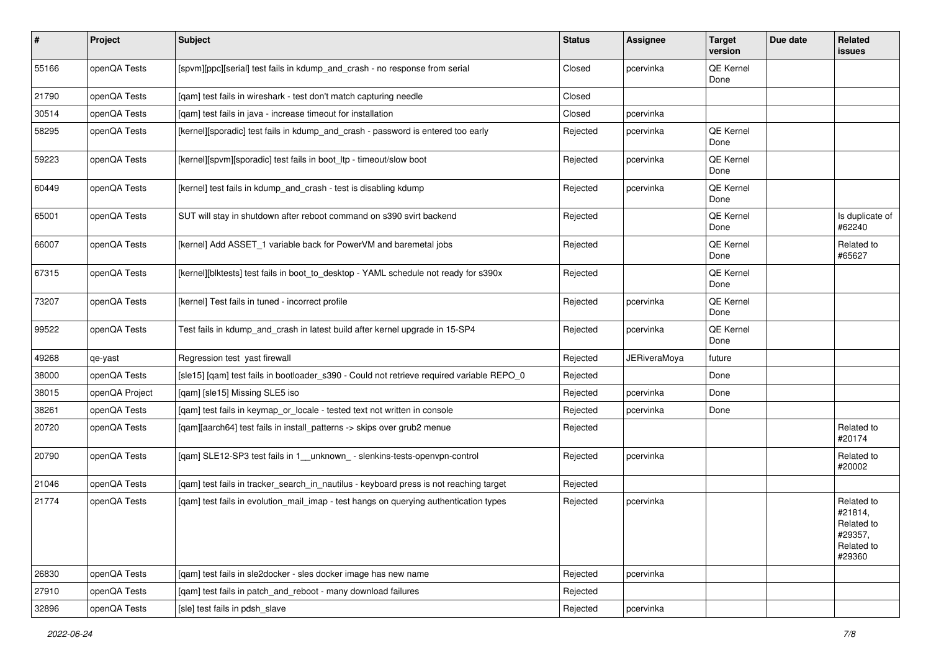| $\vert$ # | Project        | Subject                                                                                   | <b>Status</b> | Assignee            | <b>Target</b><br>version | Due date | Related<br>issues                                                      |
|-----------|----------------|-------------------------------------------------------------------------------------------|---------------|---------------------|--------------------------|----------|------------------------------------------------------------------------|
| 55166     | openQA Tests   | [spvm][ppc][serial] test fails in kdump_and_crash - no response from serial               | Closed        | pcervinka           | QE Kernel<br>Done        |          |                                                                        |
| 21790     | openQA Tests   | [qam] test fails in wireshark - test don't match capturing needle                         | Closed        |                     |                          |          |                                                                        |
| 30514     | openQA Tests   | [qam] test fails in java - increase timeout for installation                              | Closed        | pcervinka           |                          |          |                                                                        |
| 58295     | openQA Tests   | [kernel][sporadic] test fails in kdump_and_crash - password is entered too early          | Rejected      | pcervinka           | QE Kernel<br>Done        |          |                                                                        |
| 59223     | openQA Tests   | [kernel][spvm][sporadic] test fails in boot_ltp - timeout/slow boot                       | Rejected      | pcervinka           | QE Kernel<br>Done        |          |                                                                        |
| 60449     | openQA Tests   | [kernel] test fails in kdump_and_crash - test is disabling kdump                          | Rejected      | pcervinka           | QE Kernel<br>Done        |          |                                                                        |
| 65001     | openQA Tests   | SUT will stay in shutdown after reboot command on s390 svirt backend                      | Rejected      |                     | QE Kernel<br>Done        |          | Is duplicate of<br>#62240                                              |
| 66007     | openQA Tests   | [kernel] Add ASSET_1 variable back for PowerVM and baremetal jobs                         | Rejected      |                     | QE Kernel<br>Done        |          | Related to<br>#65627                                                   |
| 67315     | openQA Tests   | [kernel][blktests] test fails in boot to desktop - YAML schedule not ready for s390x      | Rejected      |                     | QE Kernel<br>Done        |          |                                                                        |
| 73207     | openQA Tests   | [kernel] Test fails in tuned - incorrect profile                                          | Rejected      | pcervinka           | QE Kernel<br>Done        |          |                                                                        |
| 99522     | openQA Tests   | Test fails in kdump_and_crash in latest build after kernel upgrade in 15-SP4              | Rejected      | pcervinka           | QE Kernel<br>Done        |          |                                                                        |
| 49268     | qe-yast        | Regression test yast firewall                                                             | Rejected      | <b>JERiveraMoya</b> | future                   |          |                                                                        |
| 38000     | openQA Tests   | [sle15] [qam] test fails in bootloader_s390 - Could not retrieve required variable REPO_0 | Rejected      |                     | Done                     |          |                                                                        |
| 38015     | openQA Project | [qam] [sle15] Missing SLE5 iso                                                            | Rejected      | pcervinka           | Done                     |          |                                                                        |
| 38261     | openQA Tests   | [gam] test fails in keymap or locale - tested text not written in console                 | Rejected      | pcervinka           | Done                     |          |                                                                        |
| 20720     | openQA Tests   | [qam][aarch64] test fails in install_patterns -> skips over grub2 menue                   | Rejected      |                     |                          |          | Related to<br>#20174                                                   |
| 20790     | openQA Tests   | [qam] SLE12-SP3 test fails in 1_unknown_- slenkins-tests-openvpn-control                  | Rejected      | pcervinka           |                          |          | Related to<br>#20002                                                   |
| 21046     | openQA Tests   | [qam] test fails in tracker_search_in_nautilus - keyboard press is not reaching target    | Rejected      |                     |                          |          |                                                                        |
| 21774     | openQA Tests   | [gam] test fails in evolution_mail_imap - test hangs on querying authentication types     | Rejected      | pcervinka           |                          |          | Related to<br>#21814.<br>Related to<br>#29357,<br>Related to<br>#29360 |
| 26830     | openQA Tests   | [qam] test fails in sle2docker - sles docker image has new name                           | Rejected      | pcervinka           |                          |          |                                                                        |
| 27910     | openQA Tests   | [gam] test fails in patch and reboot - many download failures                             | Rejected      |                     |                          |          |                                                                        |
| 32896     | openQA Tests   | [sle] test fails in pdsh_slave                                                            | Rejected      | pcervinka           |                          |          |                                                                        |